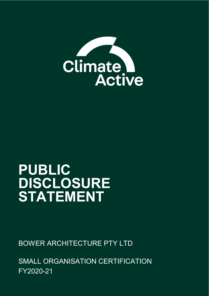

# **PUBLIC DISCLOSURE STATEMENT**

BOWER ARCHITECTURE PTY LTD

SMALL ORGANISATION CERTIFICATION FY2020-21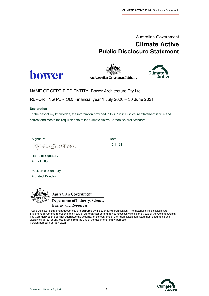# Australian Government **Climate Active Public Disclosure Statement**





**An Australian Government Initiative** 



NAME OF CERTIFIED ENTITY: Bower Architecture Pty Ltd REPORTING PERIOD: Financial year 1 July 2020 – 30 June 2021

#### **Declaration**

To the best of my knowledge, the information provided in this Public Disclosure Statement is true and correct and meets the requirements of the Climate Active Carbon Neutral Standard.

Signature Date Date

15.11.21

Name of Signatory Anna Dutton

naputtar

Position of Signatory Architect Director



**Australian Government Department of Industry, Science, Energy and Resources** 

Public Disclosure Statement documents are prepared by the submitting organisation. The material in Public Disclosure Statement documents represents the views of the organisation and do not necessarily reflect the views of the Commonwealth. The Commonwealth does not guarantee the accuracy of the contents of the Public Disclosure Statement documents and disclaims liability for any loss arising from the use of the document for any purpose. Version number February 2021

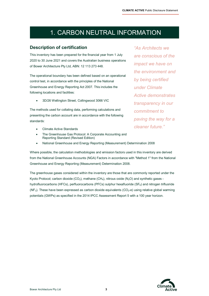# 1. CARBON NEUTRAL INFORMATION

### **Description of certification**

This inventory has been prepared for the financial year from 1 July 2020 to 30 June 2021 and covers the Australian business operations of Bower Architecture Pty Ltd, ABN: 12 113 273 448.

The operational boundary has been defined based on an operational control test, in accordance with the principles of the National Greenhouse and Energy Reporting Act 2007. This includes the following locations and facilities:

• 3D/26 Wellington Street, Collingwood 3066 VIC

The methods used for collating data, performing calculations and presenting the carbon account are in accordance with the following standards:

- Climate Active Standards
- The Greenhouse Gas Protocol: A Corporate Accounting and Reporting Standard (Revised Edition)
- National Greenhouse and Energy Reporting (Measurement) Determination 2008

Where possible, the calculation methodologies and emission factors used in this inventory are derived from the National Greenhouse Accounts (NGA) Factors in accordance with "Method 1" from the National Greenhouse and Energy Reporting (Measurement) Determination 2008.

The greenhouse gases considered within the inventory are those that are commonly reported under the Kyoto Protocol; carbon dioxide (CO<sub>2</sub>), methane (CH<sub>4</sub>), nitrous oxide (N<sub>2</sub>O) and synthetic gases hydrofluorocarbons (HFCs), perfluorocarbons (PFCs) sulphur hexafluoride ( $SF<sub>6</sub>$ ) and nitrogen trifluoride  $(NF<sub>3</sub>)$ . These have been expressed as carbon dioxide equivalents  $(CO<sub>2</sub>-e)$  using relative global warming potentials (GWPs) as specified in the 2014 IPCC Assessment Report 5 with a 100 year horizon.

*"As Architects we are conscious of the impact we have on the environment and by being certified under Climate Active demonstrates transparency in our commitment to paving the way for a cleaner future."* 

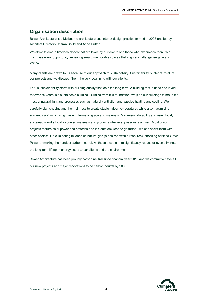### **Organisation description**

Bower Architecture is a Melbourne architecture and interior design practice formed in 2005 and led by Architect Directors Chema Bould and Anna Dutton.

We strive to create timeless places that are loved by our clients and those who experience them. We maximise every opportunity, revealing smart, memorable spaces that inspire, challenge, engage and excite.

Many clients are drawn to us because of our approach to sustainability. Sustainability is integral to all of our projects and we discuss if from the very beginning with our clients.

For us, sustainability starts with building quality that lasts the long term. A building that is used and loved for over 50 years is a sustainable building. Building from this foundation, we plan our buildings to make the most of natural light and processes such as natural ventilation and passive heating and cooling. We carefully plan shading and thermal mass to create stable indoor temperatures while also maximising efficiency and minimising waste in terms of space and materials. Maximising durability and using local, sustainably and ethically sourced materials and products whenever possible is a given. Most of our projects feature solar power and batteries and if clients are keen to go further, we can assist them with other choices like eliminating reliance on natural gas (a non-renewable resource), choosing certified Green Power or making their project carbon neutral. All these steps aim to significantly reduce or even eliminate the long-term lifespan energy costs to our clients and the environment.

Bower Architecture has been proudly carbon neutral since financial year 2019 and we commit to have all our new projects and major renovations to be carbon neutral by 2030.

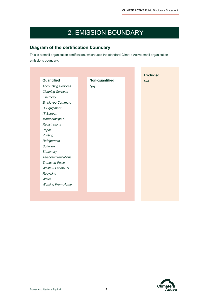# 2. EMISSION BOUNDARY

### **Diagram of the certification boundary**

This is a small organisation certification, which uses the standard Climate Active small organisation emissions boundary.

| Quantified                 | Non-quantified |  | N/A |
|----------------------------|----------------|--|-----|
| <b>Accounting Services</b> | N/A            |  |     |
| <b>Cleaning Services</b>   |                |  |     |
| Electricity                |                |  |     |
| Employee Commute           |                |  |     |
| <b>IT Equipment</b>        |                |  |     |
| <b>IT Support</b>          |                |  |     |
| Memberships &              |                |  |     |
| Registrations              |                |  |     |
| Paper                      |                |  |     |
| Printing                   |                |  |     |
| Refrigerants               |                |  |     |
| Software                   |                |  |     |
| Stationery                 |                |  |     |
| <b>Telecommunications</b>  |                |  |     |
| <b>Transport Fuels</b>     |                |  |     |
| Waste - Landfill. &        |                |  |     |
| Recycling                  |                |  |     |
| Water                      |                |  |     |
| <b>Working From Home</b>   |                |  |     |
|                            |                |  |     |

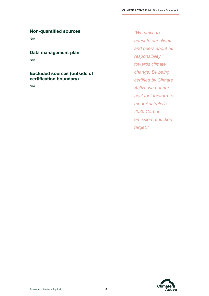### **Non-quantified sources**

N/A

### **Data management plan**

N/A

### **Excluded sources (outside of certification boundary)**

N/A

*"We strive to educate our clients and peers about our responsibility towards climate change. By being certified by Climate Active we put our best foot forward to meet Australia's 2030 Carbon emission reduction target."* 

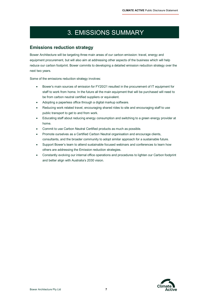# 3. EMISSIONS SUMMARY

### **Emissions reduction strategy**

Bower Architecture will be targeting three main areas of our carbon emission: travel, energy and equipment procurement, but will also aim at addressing other aspects of the business which will help reduce our carbon footprint. Bower commits to developing a detailed emission reduction strategy over the next two years.

Some of the emissions reduction strategy involves:

- Bower's main sources of emission for FY20/21 resulted in the procurement of IT equipment for staff to work from home. In the future all the main equipment that will be purchased will need to be from carbon neutral certified suppliers or equivalent.
- Adopting a paperless office through a digital markup software.
- Reducing work related travel, encouraging shared rides to site and encouraging staff to use public transport to get to and from work.
- Educating staff about reducing energy consumption and switching to a green energy provider at home.
- Commit to use Carbon Neutral Certified products as much as possible.
- Promote ourselves as a Certified Carbon Neutral organisation and encourage clients, consultants, and the broader community to adopt similar approach for a sustainable future.
- Support Bower's team to attend sustainable focused webinars and conferences to learn how others are addressing the Emission reduction strategies.
- Constantly evolving our internal office operations and procedures to lighten our Carbon footprint and better align with Australia's 2030 vision.

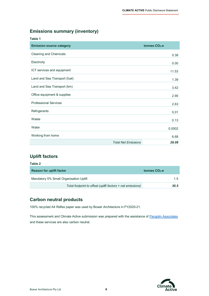### **Emissions summary (inventory)**

| Table 1                         |                            |                  |
|---------------------------------|----------------------------|------------------|
| <b>Emission source category</b> |                            | tonnes $CO2 - e$ |
| <b>Cleaning and Chemicals</b>   |                            | 0.38             |
| Electricity                     |                            | 0.00             |
| ICT services and equipment      |                            | 11.53            |
| Land and Sea Transport (fuel)   |                            | 1.39             |
| Land and Sea Transport (km)     |                            | 3.42             |
| Office equipment & supplies     |                            | 2.90             |
| <b>Professional Services</b>    |                            | 2.63             |
| Refrigerants                    |                            | 0.01             |
| Waste                           |                            | 0.13             |
| Water                           |                            | 0.0002           |
| Working from home               |                            | 6.68             |
|                                 | <b>Total Net Emissions</b> | 29.08            |

### **Uplift factors**

| Table 2                                                    |                 |      |
|------------------------------------------------------------|-----------------|------|
| <b>Reason for uplift factor</b>                            | tonnes $CO2$ -e |      |
| Mandatory 5% Small Organisation Uplift                     |                 | 1.5  |
| Total footprint to offset (uplift factors + net emissions) |                 | 30.5 |

### **Carbon neutral products**

100% recycled A4 Reflex paper was used by Bower Architecture in FY2020-21.

This assessment and Climate Active submission was prepared with the assistance o[f Pangolin Associates](https://pangolinassociates.com/) and these services are also carbon neutral.

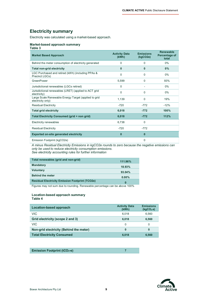### **Electricity summary**

Electricity was calculated using a market-based approach.

#### **Market-based approach summary Table 3**

| ט סועו                                                                    |                               |                              |                                            |
|---------------------------------------------------------------------------|-------------------------------|------------------------------|--------------------------------------------|
| <b>Market Based Approach</b>                                              | <b>Activity Data</b><br>(kWh) | <b>Emissions</b><br>(kqCO2e) | <b>Renewable</b><br>Percentage of<br>total |
| Behind the meter consumption of electricity generated                     | $\Omega$                      | $\Omega$                     | $0\%$                                      |
| <b>Total non-grid electricity</b>                                         | $\bf{0}$                      | $\mathbf{0}$                 | $0\%$                                      |
| LGC Purchased and retired (kWh) (including PPAs &<br>Precinct LGCs)       | $\Omega$                      | $\Omega$                     | 0%                                         |
| GreenPower                                                                | 5,599                         | $\Omega$                     | 93%                                        |
| Jurisdictional renewables (LGCs retired)                                  | $\Omega$                      |                              | $0\%$                                      |
| Jurisdictional renewables (LRET) (applied to ACT grid<br>electricity)     | $\Omega$                      | $\Omega$                     | $0\%$                                      |
| Large Scale Renewable Energy Target (applied to grid<br>electricity only) | 1,139                         | $\mathbf 0$                  | 19%                                        |
| <b>Residual Electricity</b>                                               | $-720$                        | $-772$                       | $-12%$                                     |
| <b>Total grid electricity</b>                                             | 6,018                         | $-772$                       | 100%                                       |
| Total Electricity Consumed (grid + non grid)                              | 6,018                         | $-772$                       | 112%                                       |
| Electricity renewables                                                    | 6,738                         | $\Omega$                     |                                            |
| <b>Residual Electricity</b>                                               | $-720$                        | $-772$                       |                                            |
| <b>Exported on-site generated electricity</b>                             | $\bf{0}$                      | $\mathbf{0}$                 |                                            |
| Emission Footprint (kgCO2e)                                               |                               | $\Omega$                     |                                            |

*A minus Residual Electricity Emissions in kgCO2e rounds to zero because the negative emissions can only be used to reduce electricity consumption emissions. See electricity accounting rules for further information*

| Total renewables (grid and non-grid)                   | 111.96%   |
|--------------------------------------------------------|-----------|
| <b>Mandatory</b>                                       | 18.93%    |
| <b>Voluntary</b>                                       | $93.04\%$ |
| <b>Behind the meter</b>                                | $0.00\%$  |
| <b>Residual Electricity Emission Footprint (TCO2e)</b> | $\bf{0}$  |

Figures may not sum due to rounding. Renewable percentage can be above 100%

#### **Location-based approach summary Table 4**

| Location-based approach                 | <b>Activity Data</b><br>(kWh) | <b>Emissions</b><br>(kqCO <sub>2</sub> . <sub>e</sub> ) |
|-----------------------------------------|-------------------------------|---------------------------------------------------------|
| VIC.                                    | 6.018                         | 6.560                                                   |
| Grid electricity (scope 2 and 3)        | 6.018                         | 6.560                                                   |
| VIC.                                    | 0                             | 0                                                       |
| Non-grid electricity (Behind the meter) | 0                             | 0                                                       |
| <b>Total Electricity Consumed</b>       | 6,018                         | 6,560                                                   |

**Emission Footprint (tCO<sub>2</sub>-e) <b>7 7** 

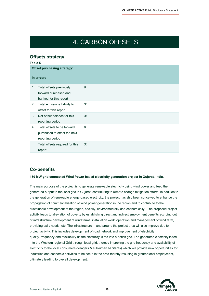# 4. CARBON OFFSETS

### **Offsets strategy**

|    | <b>Offset purchasing strategy:</b>                                              |    |
|----|---------------------------------------------------------------------------------|----|
|    | In arrears                                                                      |    |
| 1. | Total offsets previously<br>forward purchased and<br>banked for this report     | 0  |
| 2. | Total emissions liability to<br>offset for this report                          | 31 |
| 3. | Net offset balance for this<br>reporting period                                 | 31 |
| 4. | Total offsets to be forward<br>purchased to offset the next<br>reporting period | 0  |
|    | Total offsets required for this<br>report                                       | 31 |

### **Co-benefits**

#### **150 MW grid connected Wind Power based electricity generation project in Gujarat, India.**

The main purpose of the project is to generate renewable electricity using wind power and feed the generated output to the local grid in Gujarat, contributing to climate change mitigation efforts. In addition to the generation of renewable energy-based electricity, the project has also been conceived to enhance the propagation of commercialisation of wind power generation in the region and to contribute to the sustainable development of the region, socially, environmentally and economically. The proposed project activity leads to alleviation of poverty by establishing direct and indirect employment benefits accruing out of infrastructure development of wind farms, installation work, operation and management of wind farm, providing daily needs, etc. The infrastructure in and around the project area will also improve due to project activity. This includes development of road network and improvement of electricity quality, frequency and availability as the electricity is fed into a deficit grid. The generated electricity is fed into the Western regional Grid through local grid, thereby improving the grid frequency and availability of electricity to the local consumers (villagers & sub-urban habitants) which will provide new opportunities for industries and economic activities to be setup in the area thereby resulting in greater local employment, ultimately leading to overall development.

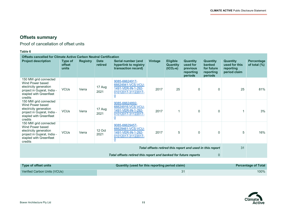$\overline{a}$ 

# **Offsets summary**

Proof of cancellation of offset units

### **Table 6**

| <b>Offsets cancelled for Climate Active Carbon Neutral Certification</b>                                                                 |                                   |                 |                        |                                                                                                    |         |                                                  |                                                                 |                                                          |                                                               |                                      |
|------------------------------------------------------------------------------------------------------------------------------------------|-----------------------------------|-----------------|------------------------|----------------------------------------------------------------------------------------------------|---------|--------------------------------------------------|-----------------------------------------------------------------|----------------------------------------------------------|---------------------------------------------------------------|--------------------------------------|
| <b>Project description</b>                                                                                                               | Type of<br><b>offset</b><br>units | <b>Registry</b> | <b>Date</b><br>retired | Serial number (and<br>hyperlink to registry<br>transaction record)                                 | Vintage | <b>Eligible</b><br><b>Quantity</b><br>$(tCO2-e)$ | <b>Quantity</b><br>used for<br>previous<br>reporting<br>periods | Quantity<br>banked<br>for future<br>reporting<br>periods | <b>Quantity</b><br>used for this<br>reporting<br>period claim | <b>Percentage</b><br>of total $(\%)$ |
| 150 MW grid connected<br>Wind Power based<br>electricity generation<br>project in Gujarat, India -<br>stapled with Greenfleet<br>credits | <b>VCUs</b>                       | Verra           | 17 Aug<br>2021         | 9085-66624917-<br>66624941-VCS-VCU-<br>1491-VER-IN-1-292-<br>01012017-31122017-<br>$\overline{0}$  | 2017    | 25                                               | $\Omega$                                                        | 0                                                        | 25                                                            | 81%                                  |
| 150 MW grid connected<br>Wind Power based<br>electricity generation<br>project in Gujarat, India -<br>stapled with Greenfleet<br>credits | <b>VCUs</b>                       | Verra           | 17 Aug<br>2021         | 9085-66624892-<br>66624916-VCS-VCU-<br>1491-VER-IN-1-292-<br>01012017-31122017-<br>$\underline{0}$ | 2017    |                                                  | $\Omega$                                                        | 0                                                        |                                                               | 3%                                   |
| 150 MW grid connected<br>Wind Power based<br>electricity generation<br>project in Gujarat, India -<br>stapled with Greenfleet<br>credits | <b>VCUs</b>                       | Verra           | 12 Oct<br>2021         | 9085-66629457-<br>66629461-VCS-VCU-<br>1491-VER-IN-1-292-<br>01012017-31122017-<br>$\overline{0}$  | 2017    | 5                                                | $\mathbf 0$                                                     | 0                                                        | 5                                                             | 16%                                  |
|                                                                                                                                          |                                   |                 |                        |                                                                                                    |         |                                                  | Total offsets retired this report and used in this report       |                                                          | 31                                                            |                                      |
|                                                                                                                                          |                                   |                 |                        | Total offsets retired this report and banked for future reports                                    |         |                                                  |                                                                 | 0                                                        |                                                               |                                      |

| Type of offset units         | Quantity (used for this reporting period claim) | <b>Percentage of Total</b> |
|------------------------------|-------------------------------------------------|----------------------------|
| Verified Carbon Units (VCUs) |                                                 | 100%                       |

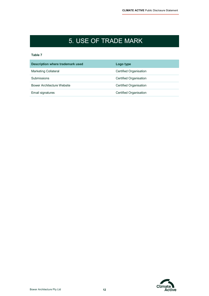# 5. USE OF TRADE MARK

#### **Table 7**

| Description where trademark used  | Logo type                     |
|-----------------------------------|-------------------------------|
| Marketing Collateral              | Certified Organisation        |
| Submissions                       | <b>Certified Organisation</b> |
| <b>Bower Architecture Website</b> | Certified Organisation        |
| Email signatures                  | <b>Certified Organisation</b> |

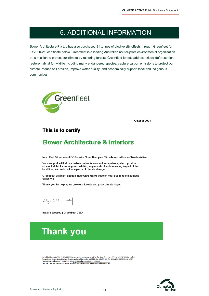# 6. ADDITIONAL INFORMATION

Bower Architecture Pty Ltd has also purchased 31 tonnes of biodiversity offsets through Greenfleet for FY2020-21, certificate below. Greenfleet is a leading Australian not-for-profit environmental organisation on a mission to protect our climate by restoring forests. Greenfleet forests address critical deforestation, restore habitat for wildlife including many endangered species, capture carbon emissions to protect our climate, reduce soil erosion, improve water quality, and economically support local and indigenous communities.



October 2021

### This is to certify

### **Bower Architecture & Interiors**

has offset 55 tonnes of CO2-e with Greenfleet plus 55 carbon credits via Climate Active.

Your support will help us restore native forests and ecosystems, which provide crucial habitat for endangered wildlife, help counter the devastating impact of the bushfires, and reduce the impacts of climate change.

Greenfleet will plant enough biodiverse native trees on your behalf to offset these emissions.

Thank you for helping us grow our forests and grow climate hope.

 $44 - 44$ 

Wayne Wescott | Greenfleet CEO



Greenfleet Australia ABN 22 095 044 465 as consorate trustee on behalf of the Greenfleet Trust ABN 86 693 237 685 Greenfleet ween measured and now 22 uso use to a wapelate unsure unrestance on the ween measured units and so use 257 page<br>Hinderst and Replaced Authorised Representative of Greenfile: FAISL Pty Inf ARN 35-159-984-303, AFSL 427:52 Le

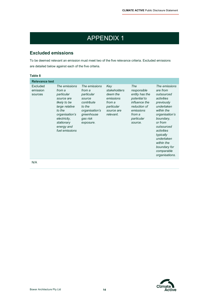# APPENDIX 1

### **Excluded emissions**

To be deemed relevant an emission must meet two of the five relevance criteria. Excluded emissions are detailed below against each of the five criteria.

#### **Table 8**

| <b>Relevance test</b>           |                                                                                                                                                                                 |                                                                                                                                  |                                                                                                 |                                                                                                                                       |                                                                                                                                                                                                                                                                |
|---------------------------------|---------------------------------------------------------------------------------------------------------------------------------------------------------------------------------|----------------------------------------------------------------------------------------------------------------------------------|-------------------------------------------------------------------------------------------------|---------------------------------------------------------------------------------------------------------------------------------------|----------------------------------------------------------------------------------------------------------------------------------------------------------------------------------------------------------------------------------------------------------------|
| Excluded<br>emission<br>sources | The emissions<br>from a<br>particular<br>source are<br>likely to be<br>large relative<br>to the<br>organisation's<br>electricity,<br>stationary<br>energy and<br>fuel emissions | The emissions<br>from a<br>particular<br>source<br>contribute<br>to the<br>organisation's<br>greenhouse<br>gas risk<br>exposure. | Key<br>stakeholders<br>deem the<br>emissions<br>from a<br>particular<br>source are<br>relevant. | The<br>responsible<br>entity has the<br>potential to<br>influence the<br>reduction of<br>emissions<br>from a<br>particular<br>source. | The emissions<br>are from<br>outsourced<br>activities<br>previously<br>undertaken<br>within the<br>organisation's<br>boundary,<br>or from<br>outsourced<br>activities<br>typically<br>undertaken<br>within the<br>boundary for<br>comparable<br>organisations. |
| N/A                             |                                                                                                                                                                                 |                                                                                                                                  |                                                                                                 |                                                                                                                                       |                                                                                                                                                                                                                                                                |

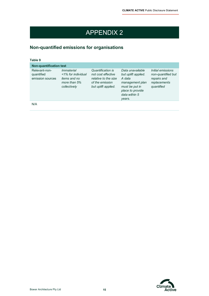# APPENDIX 2

# **Non-quantified emissions for organisations**

|  | × |  |
|--|---|--|
|  |   |  |

| <b>Non-quantification test</b>                  |                                                                                                |                                                                                                           |                                                                                                                                       |                                                                                      |
|-------------------------------------------------|------------------------------------------------------------------------------------------------|-----------------------------------------------------------------------------------------------------------|---------------------------------------------------------------------------------------------------------------------------------------|--------------------------------------------------------------------------------------|
| Relevant-non-<br>quantified<br>emission sources | <i>Immaterial</i><br><1% for individual<br><i>items and no</i><br>more than 5%<br>collectively | Quantification is<br>not cost effective<br>relative to the size<br>of the emission<br>but uplift applied. | Data unavailable<br>but uplift applied.<br>A data<br>management plan<br>must be put in<br>place to provide<br>data within 5<br>years. | Initial emissions<br>non-quantified but<br>repairs and<br>replacements<br>quantified |
| N/A                                             |                                                                                                |                                                                                                           |                                                                                                                                       |                                                                                      |